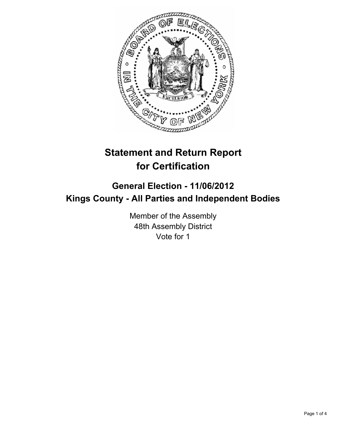

# **Statement and Return Report for Certification**

## **General Election - 11/06/2012 Kings County - All Parties and Independent Bodies**

Member of the Assembly 48th Assembly District Vote for 1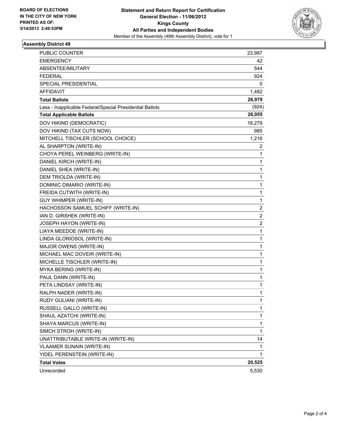

#### **Assembly District 48**

| PUBLIC COUNTER                                           | 23,987         |
|----------------------------------------------------------|----------------|
| <b>EMERGENCY</b>                                         | 42             |
| ABSENTEE/MILITARY                                        | 544            |
| <b>FEDERAL</b>                                           | 924            |
| SPECIAL PRESIDENTIAL                                     | 0              |
| <b>AFFIDAVIT</b>                                         | 1,482          |
| <b>Total Ballots</b>                                     | 26,979         |
| Less - Inapplicable Federal/Special Presidential Ballots | (924)          |
| <b>Total Applicable Ballots</b>                          | 26,055         |
| DOV HIKIND (DEMOCRATIC)                                  | 18,279         |
| DOV HIKIND (TAX CUTS NOW)                                | 985            |
| MITCHELL TISCHLER (SCHOOL CHOICE)                        | 1,216          |
| AL SHARPTON (WRITE-IN)                                   | 2              |
| CHOYA PEREL WEINBERG (WRITE-IN)                          | $\mathbf{1}$   |
| DANIEL KIRCH (WRITE-IN)                                  | 1              |
| DANIEL SHEA (WRITE-IN)                                   | 1              |
| DEM TRIOLDA (WRITE-IN)                                   | 1              |
| DOMINIC DIMARIO (WRITE-IN)                               | 1              |
| FREIDA CUTWITH (WRITE-IN)                                | 1              |
| <b>GUY WHIMPER (WRITE-IN)</b>                            | $\mathbf 1$    |
| HACHOSSON SAMUEL SCHIFF (WRITE-IN)                       | $\overline{c}$ |
| IAN D. GIRSHEK (WRITE-IN)                                | 2              |
| <b>JOSEPH HAYON (WRITE-IN)</b>                           | 2              |
| LIAYA MEEDOE (WRITE-IN)                                  | 1              |
| LINDA GLORIOSOL (WRITE-IN)                               | 1              |
| MAJOR OWENS (WRITE-IN)                                   | $\mathbf 1$    |
| MICHAEL MAC DOVEIR (WRITE-IN)                            | 1              |
| MICHELLE TISCHLER (WRITE-IN)                             | 1              |
| MYKA BERING (WRITE-IN)                                   | 1              |
| PAUL DANN (WRITE-IN)                                     | 1              |
| PETA LINDSAY (WRITE-IN)                                  | 1              |
| RALPH NADER (WRITE-IN)                                   | 1              |
| RUDY GULIANI (WRITE-IN)                                  | 1              |
| RUSSELL GALLO (WRITE-IN)                                 | 1              |
| SHAUL AZATCHI (WRITE-IN)                                 | 1              |
| SHAYA MARCUS (WRITE-IN)                                  | 1              |
| SIMCH STROH (WRITE-IN)                                   | $\mathbf{1}$   |
| UNATTRIBUTABLE WRITE-IN (WRITE-IN)                       | 14             |
| <b>VLAAMER SUNAIN (WRITE-IN)</b>                         | 1              |
| YIDEL PERENSTEIN (WRITE-IN)                              | 1              |
| <b>Total Votes</b>                                       | 20,525         |
| Unrecorded                                               | 5,530          |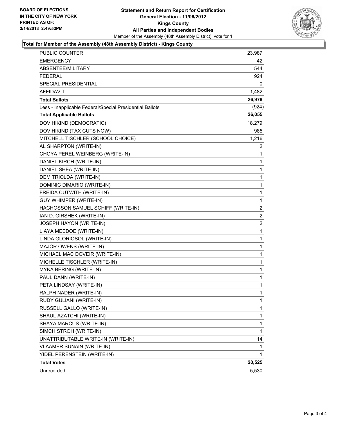

#### **Total for Member of the Assembly (48th Assembly District) - Kings County**

| PUBLIC COUNTER                                           | 23,987 |
|----------------------------------------------------------|--------|
| <b>EMERGENCY</b>                                         | 42     |
| ABSENTEE/MILITARY                                        | 544    |
| <b>FEDERAL</b>                                           | 924    |
| <b>SPECIAL PRESIDENTIAL</b>                              | 0      |
| <b>AFFIDAVIT</b>                                         | 1,482  |
| <b>Total Ballots</b>                                     | 26,979 |
| Less - Inapplicable Federal/Special Presidential Ballots | (924)  |
| <b>Total Applicable Ballots</b>                          | 26,055 |
| DOV HIKIND (DEMOCRATIC)                                  | 18,279 |
| DOV HIKIND (TAX CUTS NOW)                                | 985    |
| MITCHELL TISCHLER (SCHOOL CHOICE)                        | 1,216  |
| AL SHARPTON (WRITE-IN)                                   | 2      |
| CHOYA PEREL WEINBERG (WRITE-IN)                          | 1      |
| DANIEL KIRCH (WRITE-IN)                                  | 1      |
| DANIEL SHEA (WRITE-IN)                                   | 1      |
| DEM TRIOLDA (WRITE-IN)                                   | 1      |
| DOMINIC DIMARIO (WRITE-IN)                               | 1      |
| FREIDA CUTWITH (WRITE-IN)                                | 1      |
| <b>GUY WHIMPER (WRITE-IN)</b>                            | 1      |
| HACHOSSON SAMUEL SCHIFF (WRITE-IN)                       | 2      |
| IAN D. GIRSHEK (WRITE-IN)                                | 2      |
| JOSEPH HAYON (WRITE-IN)                                  | 2      |
| LIAYA MEEDOE (WRITE-IN)                                  | 1      |
| LINDA GLORIOSOL (WRITE-IN)                               | 1      |
| MAJOR OWENS (WRITE-IN)                                   | 1      |
| MICHAEL MAC DOVEIR (WRITE-IN)                            | 1      |
| MICHELLE TISCHLER (WRITE-IN)                             | 1      |
| MYKA BERING (WRITE-IN)                                   | 1      |
| PAUL DANN (WRITE-IN)                                     | 1      |
| PETA LINDSAY (WRITE-IN)                                  | 1      |
| RALPH NADER (WRITE-IN)                                   | 1      |
| RUDY GULIANI (WRITE-IN)                                  | 1      |
| RUSSELL GALLO (WRITE-IN)                                 | 1      |
| SHAUL AZATCHI (WRITE-IN)                                 | 1      |
| SHAYA MARCUS (WRITE-IN)                                  | 1      |
| SIMCH STROH (WRITE-IN)                                   | 1      |
| UNATTRIBUTABLE WRITE-IN (WRITE-IN)                       | 14     |
| <b>VLAAMER SUNAIN (WRITE-IN)</b>                         | 1      |
| YIDEL PERENSTEIN (WRITE-IN)                              | 1      |
| <b>Total Votes</b>                                       | 20,525 |
| Unrecorded                                               | 5,530  |